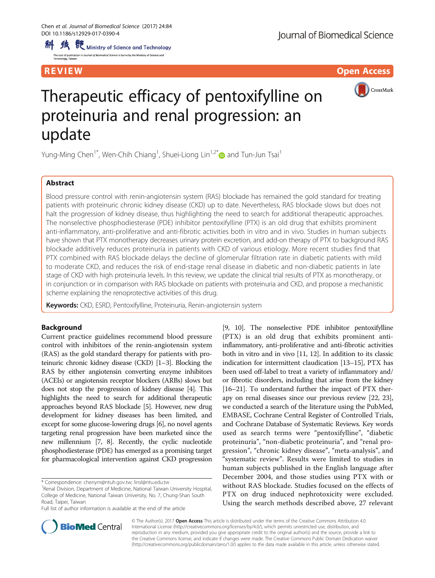**隽** 既 Ministry of Science and Technology 科 .<br>2010 – Antonio Alexandrico de Romano (n. 1820). Minister, al Antonio esta

The cost of publica<br>Technology, Taiwa

**REVIEW CONTROL CONTROL CONTROL CONTROL CONTROL CONTROL CONTROL CONTROL CONTROL** 



# Therapeutic efficacy of pentoxifylline on proteinuria and renal progression: an update

Yung-Ming Chen<sup>1[\\*](http://orcid.org/0000-0002-1041-5571)</sup>, Wen-Chih Chiang<sup>1</sup>, Shuei-Liong Lin<sup>1,2\*</sup>® and Tun-Jun Tsai<sup>1</sup>

# Abstract

Blood pressure control with renin-angiotensin system (RAS) blockade has remained the gold standard for treating patients with proteinuric chronic kidney disease (CKD) up to date. Nevertheless, RAS blockade slows but does not halt the progression of kidney disease, thus highlighting the need to search for additional therapeutic approaches. The nonselective phosphodiesterase (PDE) inhibitor pentoxifylline (PTX) is an old drug that exhibits prominent anti-inflammatory, anti-proliferative and anti-fibrotic activities both in vitro and in vivo. Studies in human subjects have shown that PTX monotherapy decreases urinary protein excretion, and add-on therapy of PTX to background RAS blockade additively reduces proteinuria in patients with CKD of various etiology. More recent studies find that PTX combined with RAS blockade delays the decline of glomerular filtration rate in diabetic patients with mild to moderate CKD, and reduces the risk of end-stage renal disease in diabetic and non-diabetic patients in late stage of CKD with high proteinuria levels. In this review, we update the clinical trial results of PTX as monotherapy, or in conjunction or in comparison with RAS blockade on patients with proteinuria and CKD, and propose a mechanistic scheme explaining the renoprotective activities of this drug.

Keywords: CKD, ESRD, Pentoxifylline, Proteinuria, Renin-angiotensin system

# Background

Current practice guidelines recommend blood pressure control with inhibitors of the renin-angiotensin system (RAS) as the gold standard therapy for patients with proteinuric chronic kidney disease (CKD) [[1](#page-11-0)–[3\]](#page-11-0). Blocking the RAS by either angiotensin converting enzyme inhibitors (ACEIs) or angiotensin receptor blockers (ARBs) slows but does not stop the progression of kidney disease [\[4\]](#page-12-0). This highlights the need to search for additional therapeutic approaches beyond RAS blockade [\[5\]](#page-12-0). However, new drug development for kidney diseases has been limited, and except for some glucose-lowering drugs [\[6\]](#page-12-0), no novel agents targeting renal progression have been marketed since the new millennium [\[7](#page-12-0), [8\]](#page-12-0). Recently, the cyclic nucleotide phosphodiesterase (PDE) has emerged as a promising target for pharmacological intervention against CKD progression

\* Correspondence: [chenym@ntuh.gov.tw;](mailto:chenym@ntuh.gov.tw) [linsl@ntu.edu.tw](mailto:linsl@ntu.edu.tw) <sup>1</sup>

Full list of author information is available at the end of the article

[[9](#page-12-0), [10\]](#page-12-0). The nonselective PDE inhibitor pentoxifylline (PTX) is an old drug that exhibits prominent antiinflammatory, anti-proliferative and anti-fibrotic activities both in vitro and in vivo [[11](#page-12-0), [12\]](#page-12-0). In addition to its classic indication for intermittent claudication [\[13](#page-12-0)–[15\]](#page-12-0), PTX has been used off-label to treat a variety of inflammatory and/ or fibrotic disorders, including that arise from the kidney [[16](#page-12-0)–[21\]](#page-12-0). To understand further the impact of PTX therapy on renal diseases since our previous review [\[22, 23](#page-12-0)], we conducted a search of the literature using the PubMed, EMBASE, Cochrane Central Register of Controlled Trials, and Cochrane Database of Systematic Reviews. Key words used as search terms were "pentoxifylline", "diabetic proteinuria", "non-diabetic proteinuria", and "renal progression", "chronic kidney disease", "meta-analysis", and "systematic review". Results were limited to studies in human subjects published in the English language after December 2004, and those studies using PTX with or without RAS blockade. Studies focused on the effects of PTX on drug induced nephrotoxicity were excluded. Using the search methods described above, 27 relevant



© The Author(s). 2017 **Open Access** This article is distributed under the terms of the Creative Commons Attribution 4.0 International License [\(http://creativecommons.org/licenses/by/4.0/](http://creativecommons.org/licenses/by/4.0/)), which permits unrestricted use, distribution, and reproduction in any medium, provided you give appropriate credit to the original author(s) and the source, provide a link to the Creative Commons license, and indicate if changes were made. The Creative Commons Public Domain Dedication waiver [\(http://creativecommons.org/publicdomain/zero/1.0/](http://creativecommons.org/publicdomain/zero/1.0/)) applies to the data made available in this article, unless otherwise stated.

<sup>&</sup>lt;sup>1</sup> Renal Division, Department of Medicine, National Taiwan University Hospital, College of Medicine, National Taiwan University, No. 7, Chung-Shan South Road, Taipei, Taiwan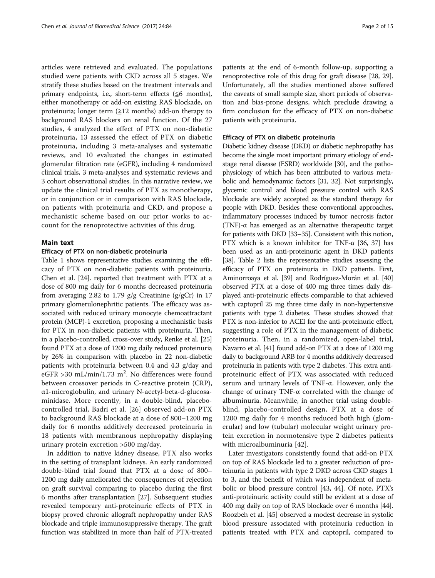articles were retrieved and evaluated. The populations studied were patients with CKD across all 5 stages. We stratify these studies based on the treatment intervals and primary endpoints, i.e., short-term effects ( $\leq 6$  months), either monotherapy or add-on existing RAS blockade, on proteinuria; longer term  $(\geq 12 \text{ months})$  add-on therapy to background RAS blockers on renal function. Of the 27 studies, 4 analyzed the effect of PTX on non-diabetic proteinuria, 13 assessed the effect of PTX on diabetic proteinuria, including 3 meta-analyses and systematic reviews, and 10 evaluated the changes in estimated glomerular filtration rate (eGFR), including 4 randomized clinical trials, 3 meta-analyses and systematic reviews and 3 cohort observational studies. In this narrative review, we update the clinical trial results of PTX as monotherapy, or in conjunction or in comparison with RAS blockade, on patients with proteinuria and CKD, and propose a mechanistic scheme based on our prior works to account for the renoprotective activities of this drug.

# Main text

### Efficacy of PTX on non-diabetic proteinuria

Table [1](#page-2-0) shows representative studies examining the efficacy of PTX on non-diabetic patients with proteinuria. Chen et al. [[24](#page-12-0)]. reported that treatment with PTX at a dose of 800 mg daily for 6 months decreased proteinuria from averaging 2.82 to 1.79  $g/g$  Creatinine ( $g/gCr$ ) in 17 primary glomerulonephritic patients. The efficacy was associated with reduced urinary monocyte chemoattractant protein (MCP)-1 excretion, proposing a mechanistic basis for PTX in non-diabetic patients with proteinuria. Then, in a placebo-controlled, cross-over study, Renke et al. [[25](#page-12-0)] found PTX at a dose of 1200 mg daily reduced proteinuria by 26% in comparison with placebo in 22 non-diabetic patients with proteinuria between 0.4 and 4.3 g/day and eGFR >30 mL/min/1.73 m<sup>2</sup>. No differences were found between crossover periods in C-reactive protein (CRP), α1-microglobulin, and urinary N-acetyl-beta-d-glucosaminidase. More recently, in a double-blind, placebocontrolled trial, Badri et al. [[26\]](#page-12-0) observed add-on PTX to background RAS blockade at a dose of 800–1200 mg daily for 6 months additively decreased proteinuria in 18 patients with membranous nephropathy displaying urinary protein excretion >500 mg/day.

In addition to native kidney disease, PTX also works in the setting of transplant kidneys. An early randomized double-blind trial found that PTX at a dose of 800– 1200 mg daily ameliorated the consequences of rejection on graft survival comparing to placebo during the first 6 months after transplantation [\[27\]](#page-12-0). Subsequent studies revealed temporary anti-proteinuric effects of PTX in biopsy proved chronic allograft nephropathy under RAS blockade and triple immunosuppressive therapy. The graft function was stabilized in more than half of PTX-treated patients at the end of 6-month follow-up, supporting a renoprotective role of this drug for graft disease [\[28](#page-12-0), [29](#page-12-0)]. Unfortunately, all the studies mentioned above suffered the caveats of small sample size, short periods of observation and bias-prone designs, which preclude drawing a firm conclusion for the efficacy of PTX on non-diabetic patients with proteinuria.

#### Efficacy of PTX on diabetic proteinuria

Diabetic kidney disease (DKD) or diabetic nephropathy has become the single most important primary etiology of endstage renal disease (ESRD) worldwide [\[30\]](#page-12-0), and the pathophysiology of which has been attributed to various metabolic and hemodynamic factors [\[31, 32](#page-12-0)]. Not surprisingly, glycemic control and blood pressure control with RAS blockade are widely accepted as the standard therapy for people with DKD. Besides these conventional approaches, inflammatory processes induced by tumor necrosis factor (TNF)-α has emerged as an alternative therapeutic target for patients with DKD [[33](#page-12-0)–[35](#page-12-0)]. Consistent with this notion, PTX which is a known inhibitor for TNF- $\alpha$  [\[36](#page-12-0), [37](#page-12-0)] has been used as an anti-proteinuric agent in DKD patients [[38](#page-12-0)]. Table [2](#page-3-0) lists the representative studies assessing the efficacy of PTX on proteinuria in DKD patients. First, Aminorroaya et al. [[39\]](#page-12-0) and Rodríguez-Morán et al. [\[40](#page-12-0)] observed PTX at a dose of 400 mg three times daily displayed anti-proteinuric effects comparable to that achieved with captopril 25 mg three time daily in non-hypertensive patients with type 2 diabetes. These studies showed that PTX is non-inferior to ACEI for the anti-proteinuric effect, suggesting a role of PTX in the management of diabetic proteinuria. Then, in a randomized, open-label trial, Navarro et al. [[41](#page-12-0)] found add-on PTX at a dose of 1200 mg daily to background ARB for 4 months additively decreased proteinuria in patients with type 2 diabetes. This extra antiproteinuric effect of PTX was associated with reduced serum and urinary levels of TNF-α. However, only the change of urinary TNF-α correlated with the change of albuminuria. Meanwhile, in another trial using doubleblind, placebo-controlled design, PTX at a dose of 1200 mg daily for 4 months reduced both high (glomerular) and low (tubular) molecular weight urinary protein excretion in normotensive type 2 diabetes patients with microalbuminuria [[42\]](#page-12-0).

Later investigators consistently found that add-on PTX on top of RAS blockade led to a greater reduction of proteinuria in patients with type 2 DKD across CKD stages 1 to 3, and the benefit of which was independent of metabolic or blood pressure control [[43](#page-12-0), [44](#page-12-0)]. Of note, PTX's anti-proteinuric activity could still be evident at a dose of 400 mg daily on top of RAS blockade over 6 months [[44](#page-12-0)]. Roozbeh et al. [[45](#page-12-0)] observed a modest decrease in systolic blood pressure associated with proteinuria reduction in patients treated with PTX and captopril, compared to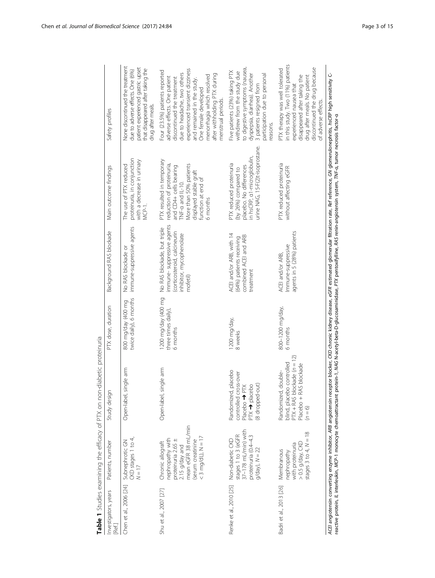<span id="page-2-0"></span>

|                                        |                                                                                                                                                   | Table 1 Studies examining the efficacy of PTX on non-diabetic proteinuria                                                                                                                                                                                            |                                                        |                                                                                                                                  |                                                                                                                                                                                                                                                                                                                                                                                                                                  |                                                                                                                                                                                                                                                                                                          |
|----------------------------------------|---------------------------------------------------------------------------------------------------------------------------------------------------|----------------------------------------------------------------------------------------------------------------------------------------------------------------------------------------------------------------------------------------------------------------------|--------------------------------------------------------|----------------------------------------------------------------------------------------------------------------------------------|----------------------------------------------------------------------------------------------------------------------------------------------------------------------------------------------------------------------------------------------------------------------------------------------------------------------------------------------------------------------------------------------------------------------------------|----------------------------------------------------------------------------------------------------------------------------------------------------------------------------------------------------------------------------------------------------------------------------------------------------------|
| Investigators, years<br>Ref.           | Patients, number                                                                                                                                  | Study design                                                                                                                                                                                                                                                         | PTX dose, duration                                     | Background RAS blockade                                                                                                          | Main outcome findings                                                                                                                                                                                                                                                                                                                                                                                                            | Safety profiles                                                                                                                                                                                                                                                                                          |
| Chen et al., 2006 [24] Subnephrotic GN | CKD stages 1 to 4,<br>$N = 17$                                                                                                                    | Open-label, single arm                                                                                                                                                                                                                                               | twice daily), 6 months<br>800 mg/day (400 mg           | immune-suppressive agents<br>No RAS blockade or                                                                                  | proteinuria, in conjunction<br>with a decrease in urinary<br>The use of PTX reduced<br>MCP-1.                                                                                                                                                                                                                                                                                                                                    | None discontinued the treatment<br>patient experienced gastric upset<br>that disappeared after taking the<br>due to adverse effects. One (6%)<br>drug after meals.                                                                                                                                       |
| Shu et al., 2007 [27]                  | mean eGFR 38 mL/min<br>$<$ 3 mg/dL), N = 17<br>nephropathy with<br>proteinuria 2.65 ±<br>(serum creatinine<br>Chronic allograft<br>2.15 g/day and | Open-label, single arm                                                                                                                                                                                                                                               | 1200 mg/day (400 mg<br>three times daily),<br>6 months | immune-suppressive agents<br>No RAS blockade, but triple<br>(corticosteroid, calcineurin<br>inhibitor, mycophenolate<br>mofetil) | PTX resulted in temporary<br>More than 50% patients<br>reduction of proteinuria,<br>and CD4+ cells bearing<br>displayed stable graft<br>function at end of<br>TNF-a and IL-10.<br>6 months                                                                                                                                                                                                                                       | experienced transient dizziness<br>Four (23.5%) patients reported<br>due to headache, two others<br>after withholding PTX during<br>menorrhagia which resolved<br>adverse effects. One patient<br>discontinued the treatment<br>and remained in the study.<br>One female developed<br>menstrual periods. |
| Renke et al., 2010 [25]                | 37-178 mL/min) with<br>stages 1 to 3 (eGFR<br>proteinuria (0.4-4.3<br>Non-diabetic CKD<br>$g$ /day), $N = 22$                                     | placebo<br>controlled cross-over<br>(8 dropped-out)<br>PTX → placebo<br>Placebo<br>Placebo<br>Placebo<br>P<br>Placebo<br>Placebo<br>Placebo<br>Placebo<br>Placebo<br>Placebo<br>Placebo<br>Placebo<br>Placebo<br>Placebo<br>Placebo<br>Placebo<br>Pla<br>Randomized, | 1200 mg/day,<br>8 weeks                                | ACEI and/or ARB, with 14<br>combined ACEI and ARB<br>(64%) patients receiving<br>treatment                                       | urine NAG, 15-F(2)t-isoprostane.<br>in hsCRP, a1-microglobulin,<br>PTX reduced proteinuria<br>placebo. No differences<br>(by 26%) compared to                                                                                                                                                                                                                                                                                    | to digestive symptoms (nausea,<br>Five patients (23%) taking PTX<br>withdrew from the study due<br>participation due to personal<br>dyspepsia, diarrhea). Another<br>3 patients resigned from<br>easons.                                                                                                 |
| Badri et al., 2013 [26]                | stages 3 to 4, $N = 18$<br>>0.5 g/day, CKD<br>with proteinuria<br>Membranous<br>nephropathy                                                       | $\widetilde{2}$<br>$PTX + RAS$ blockade $(n = 1)$<br>blind, placebo controlled<br>Placebo + RAS blockade<br>Randomized, double-<br>$(n = 6)$                                                                                                                         | 800-1200 mg/day,<br>6 months                           | agents in 5 (28%) patients<br>Immune-suppressive<br>ACEI and/or ARB,                                                             | PTX reduced proteinuria<br>without affecting eGFR                                                                                                                                                                                                                                                                                                                                                                                | in this study. Two (11%) patients<br>discontinued the drug because<br>PTX therapy was well tolerated<br>disappeared after taking the<br>drug after meals. No patient<br>experienced nausea that<br>of adverse effects.                                                                                   |
|                                        |                                                                                                                                                   |                                                                                                                                                                                                                                                                      |                                                        |                                                                                                                                  | ACE angiotensin converting enzyme inhibitor, ARB angiotensin receptor blocker, CKD chronic kidney disease, eGFR estimated glomerular filtration rate, Ref reference, GN glomerulonephritis, <i>hsCRP</i> high sensitivity C-<br>reactive protein, IL interleukin, MCP-1 monocyte chemoattractant protein-1, MAG N-acety-beta-D-glucosaminidase, PTX pentoxifylline, RAS renin-angiotensin system, TNF-α, tumor necrosis factor-α |                                                                                                                                                                                                                                                                                                          |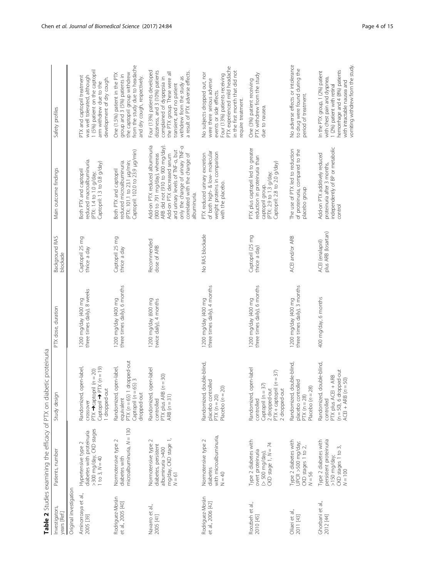<span id="page-3-0"></span>

|                                      |                                                                                                   | Table 2 Studies examining the efficacy of PTX on diabetic proteinuria                                                                            |                                                     |                                         |                                                                                                                                                                                                                                                           |                                                                                                                                                                                                                                |
|--------------------------------------|---------------------------------------------------------------------------------------------------|--------------------------------------------------------------------------------------------------------------------------------------------------|-----------------------------------------------------|-----------------------------------------|-----------------------------------------------------------------------------------------------------------------------------------------------------------------------------------------------------------------------------------------------------------|--------------------------------------------------------------------------------------------------------------------------------------------------------------------------------------------------------------------------------|
| Investigators,<br>years [Ref.]       | Patients, number                                                                                  | Study design                                                                                                                                     | PTX dose, duration                                  | Background RAS<br>blockade              | Main outcome findings                                                                                                                                                                                                                                     | Safety profiles                                                                                                                                                                                                                |
| Original investigation               |                                                                                                   |                                                                                                                                                  |                                                     |                                         |                                                                                                                                                                                                                                                           |                                                                                                                                                                                                                                |
| Aminorroaya et al.,<br>2005 [39]     | >300 mg/day, CKD stages<br>diabetes with proteinuria<br>Hypertensive type 2<br>1 to 3, $N = 40$   | open-label,<br>Captopril $\rightarrow$ PTX ( $n = 19$ )<br>$PTX \rightarrow$ captopril ( $n = 20$ )<br>I dropped-out<br>Randomized,<br>crossover | three times daily), 8 weeks<br>1200 mg/day (400 mg  | Captopril 25 mg<br>thrice a day         | reduced macroalbuminuria.<br>Captopril: 1.3 to 0.8 g/day)<br>Both PTX and captopril<br>(PTX: 1.4 to 1.0 g/day;                                                                                                                                            | 1 (5%) patient on the captopril<br>PTX and captopril treatment<br>was well tolerated, although<br>development of dry cough.<br>arm withdrew due to the                                                                         |
| Rodriguez-Morán<br>et al., 2005 [40] | microalbuminuria, N = 130<br>Normotensive type 2<br>diabetes with                                 | 1 dropped-out<br>=65) 3<br>open-label,<br>$PTX (n = 65) 1$<br>Captopril (n =<br>dropped-out<br>Randomized,<br>equivalent                         | three times daily), 6 months<br>1200 mg/day (400 mg | Captopril 25 mg<br>thrice a day         | Captopril: 102.0 to 23.9 µg/min)<br>(PTX: 101.1 to 23.1 µg/min;<br>reduced microalbuminuria.<br>Both PTX and captopril                                                                                                                                    | from the study due to headache<br>the captopril group withdrew<br>One (1.5%) patient in the PTX<br>group and 3 (5%) patients in<br>and dry cough, respectively.                                                                |
| Navarro et al.,<br>2005 [41]         | mg/day, CKD stage 1,<br>N = 61<br>Normotensive type 2<br>diabetes, persistent<br>albuminuria >400 | open-label<br>PTX plus ARB ( $n = 30$ )<br>ARB ( $n = 31$ )<br>Randomized,<br>controlled                                                         | 1200 mg/day (600 mg<br>twice daily), 4 months       | Recommended<br>dose of ARB              | ARB did not (910 to 900 mg/day).<br>Add-on PTX reduced albuminuria<br>only the change of urinary TNF-a<br>and urinary levels of TNF-a, but<br>(900 to 791 mg/day), whereas<br>correlated with the change of<br>Add-on PTX decreased serum<br>albuminuria. | Four (13%) patients developed<br>dizziness, and 3 (10%) patients<br>a result of PTX adverse effects.<br>the PTX group. These were all<br>withdrew from the study as<br>complained of dyspepsia in<br>transient, and no patient |
| Rodriguez-Morán<br>et al., 2006 [42] | with microalbuminuria,<br>Normotensive type 2<br>diabetes<br>$N = 40$                             | double-blind,<br>placebo controlled<br>Placebo $(n = 20)$<br>Randomized,<br>$PTX(n = 20)$                                                        | three times daily), 4 months<br>1200 mg/day (400 mg | No RAS blockade                         | of both high- & low- molecular<br>weight proteins in comparison<br>PTX reduced urinary excretion<br>with the placebo.                                                                                                                                     | PTX experienced mild headache<br>in the first month that did not<br>No subjects dropped out, nor<br>Four (13%) patients receiving<br>were there serious adverse<br>events or side effects.<br>require treatment.               |
| Roozbeh et al.,<br>2010 [45]         | Type 2 diabetes with<br>CKD stage $1, N = 74$<br>overt proteinuria<br>(> 500 mg/day),             | open-label<br>PTX + captopril (n = 37)<br>2 dropped-out<br>Captopril (n = 37)<br>2 dropped-out<br>Randomized,<br>controlled                      | three times daily), 6 months<br>1200 mg/day (400 mg | Captopril (25 mg<br>thrice a day)       | PTX plus captopril led to greater<br>eduction in proteinuria than<br>Captopril: 2.8 to 2.0 g/day)<br>(PTX: 2.9 to 1.3 g/day;<br>captopril group.                                                                                                          | PTX withdrew from the study<br>One (3%) patient receiving<br>due to nausea.                                                                                                                                                    |
| Oliaei et al.,<br>2011 [43]          | Type 2 diabetes with<br>UPCR >500 mg/day;<br>CKD stages 1 to 2, $N = 56$                          | double-blind,<br>placebo controlled<br>Placebo $(n = 28)$<br>Randomized,<br>$PY(n = 28)$                                                         | three times daily), 3 months<br>1200 mg/day (400 mg | ACEI and/or ARB                         | The use of PTX led to reduction<br>of proteinuria, compared to the<br>placebo group                                                                                                                                                                       | No adverse effects or intolerance<br>to drug were found during the<br>period of treatment.                                                                                                                                     |
| Ghorbani et al.,<br>2012 [44]        | persistent proteinuria<br>Type 2 diabetes with<br>CKD stages 1 to 3,<br>>150 mg/day;<br>$N = 100$ | double-blind,<br>$(n = 50)$ , 6 dropped-out<br>ACEI + ARB ( $n = 50$ )<br>$1 + ARB$<br>PTX plus ACEI<br>Randomized,<br>controlled                | 400 mg/day, 6 months                                | ACEI (enalapril)<br>plus ARB (losartan) | independently of BP or metabolic<br>Add-on PTX additively reduced<br>proteinuria after 3 months,<br>control                                                                                                                                               | vomiting withdrew from the study.<br>hemorrhage and 4 (8%) patients<br>In the PTX group, 1 (2%) patient<br>with chest pain and dyspnea,<br>with intractable nausea and<br>1 (2%) patient with retinal                          |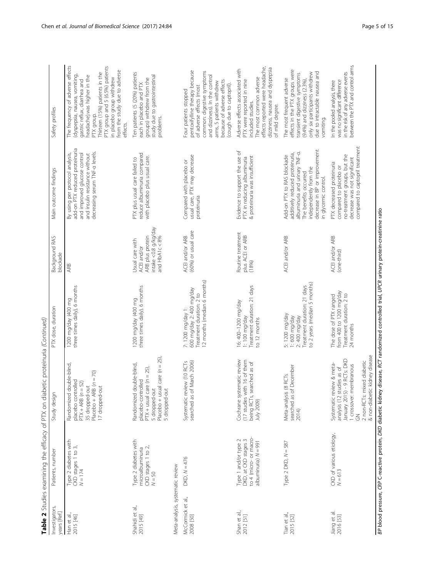BP blood pressure, CRP C-reactive protein, DKD diabetic kidney disease, RCT randomized controlled trial, UPCR urinary protein-creatinine ratio BP blood pressure, CRP C-reactive protein, DKD diabetic kidney disease, RCT randomized controlled trial, UPCR urinary protein-creatinine ratio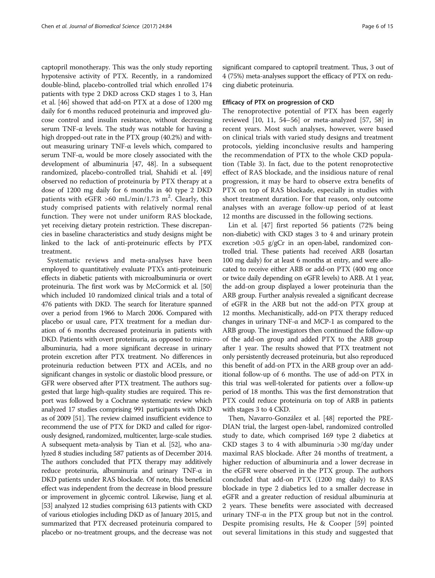captopril monotherapy. This was the only study reporting hypotensive activity of PTX. Recently, in a randomized double-blind, placebo-controlled trial which enrolled 174 patients with type 2 DKD across CKD stages 1 to 3, Han et al. [[46](#page-12-0)] showed that add-on PTX at a dose of 1200 mg daily for 6 months reduced proteinuria and improved glucose control and insulin resistance, without decreasing serum TNF- $\alpha$  levels. The study was notable for having a high dropped-out rate in the PTX group (40.2%) and without measuring urinary TNF-α levels which, compared to serum TNF-α, would be more closely associated with the development of albuminuria [\[47, 48\]](#page-12-0). In a subsequent randomized, placebo-controlled trial, Shahidi et al. [[49](#page-12-0)] observed no reduction of proteinuria by PTX therapy at a dose of 1200 mg daily for 6 months in 40 type 2 DKD patients with eGFR >60 mL/min/1.73 m<sup>2</sup>. Clearly, this study comprised patients with relatively normal renal function. They were not under uniform RAS blockade, yet receiving dietary protein restriction. These discrepancies in baseline characteristics and study designs might be linked to the lack of anti-proteinuric effects by PTX treatment.

Systematic reviews and meta-analyses have been employed to quantitatively evaluate PTX's anti-proteinuric effects in diabetic patients with microalbuminuria or overt proteinuria. The first work was by McCormick et al. [\[50](#page-12-0)] which included 10 randomized clinical trials and a total of 476 patients with DKD. The search for literature spanned over a period from 1966 to March 2006. Compared with placebo or usual care, PTX treatment for a median duration of 6 months decreased proteinuria in patients with DKD. Patients with overt proteinuria, as opposed to microalbuminuria, had a more significant decrease in urinary protein excretion after PTX treatment. No differences in proteinuria reduction between PTX and ACEIs, and no significant changes in systolic or diastolic blood pressure, or GFR were observed after PTX treatment. The authors suggested that large high-quality studies are required. This report was followed by a Cochrane systematic review which analyzed 17 studies comprising 991 participants with DKD as of 2009 [[51](#page-12-0)]. The review claimed insufficient evidence to recommend the use of PTX for DKD and called for rigorously designed, randomized, multicenter, large-scale studies. A subsequent meta-analysis by Tian et al. [\[52\]](#page-12-0), who analyzed 8 studies including 587 patients as of December 2014. The authors concluded that PTX therapy may additively reduce proteinuria, albuminuria and urinary TNF-α in DKD patients under RAS blockade. Of note, this beneficial effect was independent from the decrease in blood pressure or improvement in glycemic control. Likewise, Jiang et al. [[53](#page-13-0)] analyzed 12 studies comprising 613 patients with CKD of various etiologies including DKD as of January 2015, and summarized that PTX decreased proteinuria compared to placebo or no-treatment groups, and the decrease was not significant compared to captopril treatment. Thus, 3 out of 4 (75%) meta-analyses support the efficacy of PTX on reducing diabetic proteinuria.

# Efficacy of PTX on progression of CKD

The renoprotective potential of PTX has been eagerly reviewed [[10, 11](#page-12-0), [54](#page-13-0)–[56\]](#page-13-0) or meta-analyzed [\[57, 58\]](#page-13-0) in recent years. Most such analyses, however, were based on clinical trials with varied study designs and treatment protocols, yielding inconclusive results and hampering the recommendation of PTX to the whole CKD population (Table [3\)](#page-6-0). In fact, due to the potent renoprotective effect of RAS blockade, and the insidious nature of renal progression, it may be hard to observe extra benefits of PTX on top of RAS blockade, especially in studies with short treatment duration. For that reason, only outcome analyses with an average follow-up period of at least 12 months are discussed in the following sections.

Lin et al. [[47\]](#page-12-0) first reported 56 patients (72% being non-diabetic) with CKD stages 3 to 4 and urinary protein excretion >0.5 g/gCr in an open-label, randomized controlled trial. These patients had received ARB (losartan 100 mg daily) for at least 6 months at entry, and were allocated to receive either ARB or add-on PTX (400 mg once or twice daily depending on eGFR levels) to ARB. At 1 year, the add-on group displayed a lower proteinuria than the ARB group. Further analysis revealed a significant decrease of eGFR in the ARB but not the add-on PTX group at 12 months. Mechanistically, add-on PTX therapy reduced changes in urinary TNF-α and MCP-1 as compared to the ARB group. The investigators then continued the follow-up of the add-on group and added PTX to the ARB group after 1 year. The results showed that PTX treatment not only persistently decreased proteinuria, but also reproduced this benefit of add-on PTX in the ARB group over an additional follow-up of 6 months. The use of add-on PTX in this trial was well-tolerated for patients over a follow-up period of 18 months. This was the first demonstration that PTX could reduce proteinuria on top of ARB in patients with stages 3 to 4 CKD.

Then, Navarro-González et al. [[48](#page-12-0)] reported the PRE-DIAN trial, the largest open-label, randomized controlled study to date, which comprised 169 type 2 diabetics at CKD stages 3 to 4 with albuminuria >30 mg/day under maximal RAS blockade. After 24 months of treatment, a higher reduction of albuminuria and a lower decrease in the eGFR were observed in the PTX group. The authors concluded that add-on PTX (1200 mg daily) to RAS blockade in type 2 diabetics led to a smaller decrease in eGFR and a greater reduction of residual albuminuria at 2 years. These benefits were associated with decreased urinary TNF- $α$  in the PTX group but not in the control. Despite promising results, He & Cooper [[59](#page-13-0)] pointed out several limitations in this study and suggested that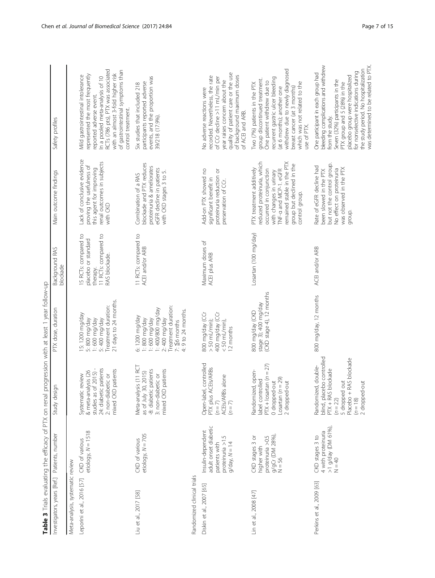<span id="page-6-0"></span>

| Investigators, years [Ref.]      | Patients, number                                                                                                 | Study design                                                                                                                                                      | PTX dose, duration                                                                                                                                  | Background RAS<br>blockade                                                                       | Main outcome findings                                                                                                                                                                                              | Safety profiles                                                                                                                                                                                                                                                                                                         |
|----------------------------------|------------------------------------------------------------------------------------------------------------------|-------------------------------------------------------------------------------------------------------------------------------------------------------------------|-----------------------------------------------------------------------------------------------------------------------------------------------------|--------------------------------------------------------------------------------------------------|--------------------------------------------------------------------------------------------------------------------------------------------------------------------------------------------------------------------|-------------------------------------------------------------------------------------------------------------------------------------------------------------------------------------------------------------------------------------------------------------------------------------------------------------------------|
| Meta-analysis, systematic review |                                                                                                                  |                                                                                                                                                                   |                                                                                                                                                     |                                                                                                  |                                                                                                                                                                                                                    |                                                                                                                                                                                                                                                                                                                         |
| Leporini et al., 2016 [57]       | etiology, $N = 1518$<br>CKD of various                                                                           | 24: diabetic patients<br>studies as of 2015) -<br>mixed CKD patients<br>& meta-analysis (26<br>2: non-diabetic or<br>c review<br>Systemati                        | 21 days to 24 months<br>Treatment duration:<br>15:1200 mg/day<br>5: 400 mg/day<br>5:800 mg/day<br>1:600 mg/day                                      | 15 RCTs: compared to<br>11 RCTs: compared to<br>placebo or standard<br>RAS blockade.<br>therapy. | Lack of conclusive evidence<br>renal outcomes in subjects<br>proving the usefulness of<br>this agent for improving<br>with CKD                                                                                     | RCTs (786 pts), PTX was associated<br>of gastrointestinal symptoms than<br>with an almost 3-fold higher risk<br>represented the most frequently<br>Mild gastrointestinal intolerance<br>In a pooled meta-analysis of 10<br>reported adverse event.<br>control treatment.                                                |
| Liu et al., 2017 [58]            | etiology, $N = 705$<br>CKD of various                                                                            | Meta-analysis (11 RCT<br>-8: diabetic patients<br>mixed CKD patients<br>as of July 30, 2015)<br>3: non-diabetic or                                                | 2: 400 mg/day<br>Treatment duration:<br>1: 400/800 mg/day<br>$4:9$ to 24 months.<br>6: 1200 mg/day<br>1:800 mg/day<br>1:600 mg/day<br>$7:56$ months | 11 RCTs: compared to<br>ACEI and/or ARB                                                          | blockade and PTX reduces<br>proteinuria & ameliorates<br>eGFR decline in patients<br>with CKD stages 3 to 5.<br>Combination of a RAS                                                                               | events, and the proportion was<br>participants reported adverse<br>Six studies that included 218<br>39/218 (17.9%).                                                                                                                                                                                                     |
| Randomized clinical trials       |                                                                                                                  |                                                                                                                                                                   |                                                                                                                                                     |                                                                                                  |                                                                                                                                                                                                                    |                                                                                                                                                                                                                                                                                                                         |
| Diskin et al., 2007 [65]         | adult onset diabetic<br>Insulin-dependent<br>5<br>proteinuria >1<br>patients with<br>$14 \text{ day}$ , $N = 14$ | Open-label, controlled<br>PTX plus ACEIs/ARBs<br>(n = 7)<br>ACEIs/ARBs alone<br>$(n = 7)$                                                                         | 800 mg/day (CCr<br>400 mg/day (CCr<br>$>$ 50 mL/min);<br>$<$ 50 mL/min),<br>12 months                                                               | Maximum doses of<br>ACEI plus ARB                                                                | Add-on PTX showed no<br>proteinuria reduction or<br>significant benefit in<br>preservation of CCr.                                                                                                                 | quality of patient care or the use<br>of background maximum doses<br>recorded. Nevertheless, the rate<br>of CCr decline >11 mL/min per<br>year raises concern about the<br>No adverse reactions were<br>of ACEI and ARB.                                                                                                |
| Lin et al., 2008 [47]            | $g/gCr$ (DM 28%),<br>N = 56<br>proteinuria > 0.5<br>CKD stages 3 or<br>higher with                               | $PYX + 10$ sartan $(n = 27)$<br>Randomized, open-<br>Losartan $(n = 29)$<br>label controlled<br>0 dropped-out<br>2 dropped-out                                    | (CKD stage 4), 12 months<br>stage 3); 400 mg/day<br>800 mg/day (CKD                                                                                 | Losartan (100 mg/day)                                                                            | reduced proteinuria, which<br>remained stable in the PTX<br>group but declined in the<br>PTX treatment additively<br>TNF-a and MCP-1. eGFR<br>occurred in conjunction<br>with changes in urinary<br>control group. | withdrew due to newly diagnosed<br>recurrent gastric ulcer bleeding<br>group discontinued treatment.<br>One patient withdrew due to<br>Two (7%) patients in the PTX<br>which was not related to the<br>breast cancer (at 3 months)<br>(at 6 months); another one<br>use of PTX.                                         |
| Perkins et al., 2009 [63]        | 4 with proteinuria<br>>1 g/day (DM 61%),<br>CKD stages 3 to<br>$\Gamma = 40$                                     | blind, placebo controlled<br>PTX + RAS blockade<br>RAS blockade<br>Randomized, double-<br>5 dropped out<br>2 dropped-out<br>Placebo +<br>$(n = 22)$<br>$(n = 18)$ | 800 mg/day, 12 months                                                                                                                               | ACEI and/or ARB                                                                                  | but not the control group.<br>Rate of eGFR decline had<br>was observed in the PTX<br>No effect on proteinuria<br>been slowed in the PTX<br>group.                                                                  | bleeding complications and withdrew<br>was determined to be related to PTX<br>the study period. No hospitalization<br>for nonselective indications during<br>One participant in each group had<br>placebo group were hospitalized<br>Seven (32%) participants in the<br>PTX group and 5 (28%) in the<br>from the study. |

Table 3 Trials evaluating the efficacy of PTX on renal progression with at least 1 year follow-up Table 3 Trials evaluating the efficacy of PTX on renal progression with at least 1 year follow-up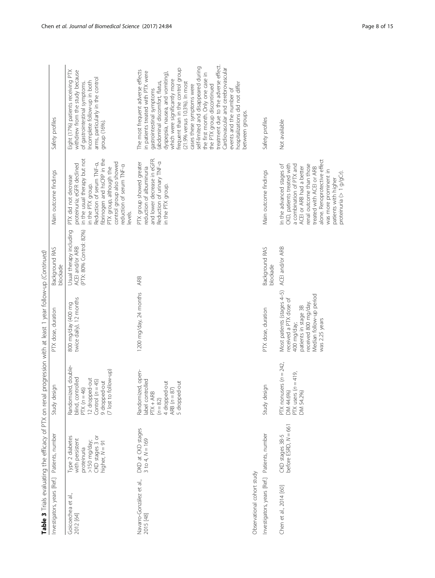|                                                                                 | Safety pro<br>ndinas<br>うこう<br>יים הוא הוודרחמתם דיי<br>a RAS            |
|---------------------------------------------------------------------------------|--------------------------------------------------------------------------|
|                                                                                 | こくこう                                                                     |
| efficacy of PTX on renal progression with at least 1 year follow-up (Continued) | $n^+$<br>)<br>)<br>)<br>5<br>2<br>2<br>2<br>2<br>2<br>て ace d            |
| ううつうごう しょう                                                                      | orion<br> <br> <br> <br> <br> <br>į                                      |
| J<br>i<br>Ī                                                                     | ts, number<br>J<br>ׇֺ֚֝֬<br>ì<br>$\overline{\phantom{a}}$<br>5<br>5<br>j |

| nvestigators, years [Ref.] Patients, number |                                                                                                          | Study design                                                                                                                              | PTX dose, duration                                                                                                                                               | Background RAS                                                                    | Main outcome findings                                                                                                                                                                                                                                                               | Safety profiles                                                                                                                                                                                                                                                                                                                                                                                                                                                                                                                                                                           |
|---------------------------------------------|----------------------------------------------------------------------------------------------------------|-------------------------------------------------------------------------------------------------------------------------------------------|------------------------------------------------------------------------------------------------------------------------------------------------------------------|-----------------------------------------------------------------------------------|-------------------------------------------------------------------------------------------------------------------------------------------------------------------------------------------------------------------------------------------------------------------------------------|-------------------------------------------------------------------------------------------------------------------------------------------------------------------------------------------------------------------------------------------------------------------------------------------------------------------------------------------------------------------------------------------------------------------------------------------------------------------------------------------------------------------------------------------------------------------------------------------|
|                                             | CKD stages 3 or<br>Type 2 diabetes<br>with persistent<br>>150 mg/day;<br>higher, $N = 91$<br>proteinuria | Randomized, double-<br>(7 lost to follow-up)<br>blind, controlled<br>12 dropped-out<br>Control $(n = 45)$<br>9 dropped-out<br>$PTX(n=46)$ | twice daily), 12 months<br>800 mg/day (400 mg                                                                                                                    | (PTX: 80% Control: 82%)<br>Usual therapy including<br>ACEI and/or ARB<br>blockade | fibrinogen and hsCRP in the<br>in the usual therapy but not<br>control group also showed<br>Reduction of serum TNF-a,<br>proteinuria; eGFR declined<br>reduction of serum TNF-a<br>PTX group, although the<br>PTX did not decrease<br>in the PTX group.<br>levels.                  | Eight (17%) patients receiving PTX<br>withdrew from the study because<br>arms, particularly in the control<br>Incomplete follow-up in both<br>of gastrointestinal symptoms.<br>group (16%).                                                                                                                                                                                                                                                                                                                                                                                               |
|                                             | DKD at CKD stages<br>3 to 4, $N = 169$                                                                   | Randomized, open-<br>label controlled<br>PTX + ARB<br>4 dropped-out<br>5 dropped-out<br>ARB $(n = 87)$<br>$(n = 82)$                      | 1200 mg/day, 24 months                                                                                                                                           | ARB                                                                               | and lower decrease in eGFR.<br>Reduction of urinary TNF-a<br>PTX group showed greater<br>reduction of albuminuria<br>in the PTX group.                                                                                                                                              | treatment due to the adverse effect.<br>self-limited and disappeared during<br>Cardiovascular and cerebrovascular<br>which were significantly more<br>frequent than in the control group<br>The most frequent adverse effects<br>in patients treated with PTX were<br>dyspepsia, nausea, and vomiting),<br>the first month. Only one case in<br>(abdominal discomfort, flatus,<br>(21.9% versus 10.3%). In most<br>hospitalizations did not differ<br>the PTX group discontinued<br>cases these symptoms were<br>gastrointestinal symptoms<br>events and the number of<br>between groups. |
|                                             |                                                                                                          |                                                                                                                                           |                                                                                                                                                                  |                                                                                   |                                                                                                                                                                                                                                                                                     |                                                                                                                                                                                                                                                                                                                                                                                                                                                                                                                                                                                           |
|                                             | Investigators, years [Ref.] Patients, number                                                             | ign<br>Study des                                                                                                                          | PTX dose, duration                                                                                                                                               | Background RAS<br>blockade                                                        | Main outcome findings                                                                                                                                                                                                                                                               | Safety profiles                                                                                                                                                                                                                                                                                                                                                                                                                                                                                                                                                                           |
|                                             | before $ESRD, N = 661$<br>CKD stages 3B-5                                                                | PTX nonusers ( $n = 242$ ,<br>PTX users ( $n = 419$ ,<br>DM 54.2%)<br>DM 44.6%)                                                           | Most patients (stages 4-5)<br>Median follow-up period<br>received a PTX dose of<br>received 800 mg/day.<br>patients in stage 3B<br>was 2.25 years<br>400 mg/day; | ACEI and/or ARB                                                                   | alone. Renoprotective effect<br>a combination of PTX and<br>In the advanced stages of<br>CKD, patients treated with<br>renal outcome than those<br>ACEI or ARB had a better<br>treated with ACEI or ARB<br>was more prominent in<br>proteinuria (> 1 g/gCr)<br>patients with higher | Not available                                                                                                                                                                                                                                                                                                                                                                                                                                                                                                                                                                             |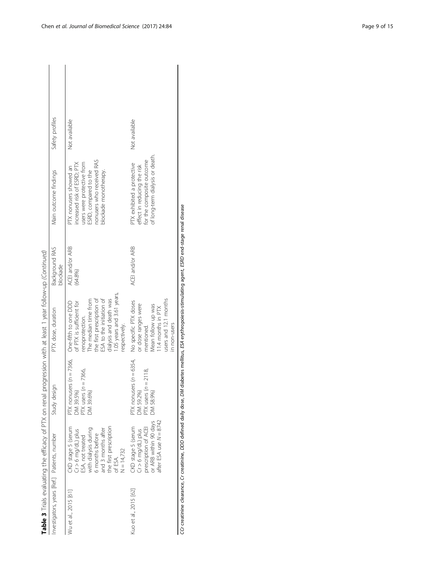|                                              | Table 3 Trials evaluating the efficacy of PTX on renal                                                                                                                               |                                                                                 | progression with at least 1 year follow-up (Continued)                                                                                                                                                                        |                            |                                                                                                                                                                    |                 |
|----------------------------------------------|--------------------------------------------------------------------------------------------------------------------------------------------------------------------------------------|---------------------------------------------------------------------------------|-------------------------------------------------------------------------------------------------------------------------------------------------------------------------------------------------------------------------------|----------------------------|--------------------------------------------------------------------------------------------------------------------------------------------------------------------|-----------------|
| Investigators, years [Ref.] Patients, number |                                                                                                                                                                                      | Study design                                                                    | PTX dose, duration                                                                                                                                                                                                            | Background RAS<br>blockade | Main outcome findings                                                                                                                                              | Safety profiles |
| Wu et al., 2015 [61                          | the first prescription<br>CKD stage 5 (serum<br>ESA, not treated<br>with dialysis during<br>and 3 months after<br>$Cr > 6$ mg/dL) plus<br>6 months before<br>$N = 14,732$<br>of ESA. | PTX nonusers ( $n = 7366$ ,<br>PTX users $(n = 7366)$<br>DM 39.5%)<br>DM 39.6%) | 1.05 years and 3.61 years,<br>ESA to the initiation of<br>the first prescription of<br>dialysis and death was<br>The median time from<br>of PTX is sufficient for<br>One-fifth to one DDD<br>renoprotection.<br>respectively. | ACEI and/or ARB<br>(64.8%) | nonusers who received RAS<br>users were protective from<br>increased risk of ESRD; PTX<br>PTX nonusers showed an<br>blockade monotherapy.<br>ESRD, compared to the | Not available   |
| Kuo et al., 2015 [62]                        | after ESA use $N = 8742$<br>or ARB within 90 days<br>CKD stage 5 (serum<br>Cr > 6 mg/dL) plus<br>prescription of ACEI                                                                | PTX nonusers $(n = 6354)$<br>PTX users $(n = 2118$ ,<br>DM 59.2%)<br>DM 58.9%)  | users and 12.1 months<br>No specific PTX doses<br>or dose ranges were<br>Mean follow up was<br>11.4 months in PTX<br>in non-users<br>mentioned.                                                                               | ACEI and/or ARB            | of long-term dialysis or death.<br>for the composite outcome<br>PTX exhibited a protective<br>effect in reducing the risk                                          | Not available   |

CCr creatinine clearance, Cr creatinine, DDD defined daily dose, DM diabetes mellitus, ESA erythropoiesis-stimulating agent, ESRD end-stage renal disease CCr creatinine clearance, Cr creatinine, DDD defined daily dose, DM diabetes mellitus, ESA erythropoiesis-stimulating agent, ESRD end-stage renal disease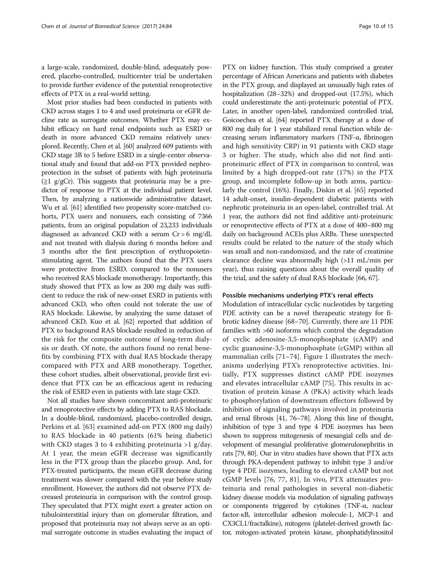a large-scale, randomized, double-blind, adequately powered, placebo-controlled, multicenter trial be undertaken to provide further evidence of the potential renoprotective effects of PTX in a real-world setting.

Most prior studies had been conducted in patients with CKD across stages 1 to 4 and used proteinuria or eGFR decline rate as surrogate outcomes. Whether PTX may exhibit efficacy on hard renal endpoints such as ESRD or death in more advanced CKD remains relatively unexplored. Recently, Chen et al. [[60](#page-13-0)] analyzed 609 patients with CKD stage 3B to 5 before ESRD in a single-center observational study and found that add-on PTX provided nephroprotection in the subset of patients with high proteinuria  $(\geq 1 \text{ g/gCr})$ . This suggests that proteinuria may be a predictor of response to PTX at the individual patient level. Then, by analyzing a nationwide administrative dataset, Wu et al. [[61](#page-13-0)] identified two propensity score-matched cohorts, PTX users and nonusers, each consisting of 7366 patients, from an original population of 23,233 individuals diagnosed as advanced CKD with a serum Cr > 6 mg/dL and not treated with dialysis during 6 months before and 3 months after the first prescription of erythropoietinstimulating agent. The authors found that the PTX users were protective from ESRD, compared to the nonusers who received RAS blockade monotherapy. Importantly, this study showed that PTX as low as 200 mg daily was sufficient to reduce the risk of new-onset ESRD in patients with advanced CKD, who often could not tolerate the use of RAS blockade. Likewise, by analyzing the same dataset of advanced CKD, Kuo et al. [[62](#page-13-0)] reported that addition of PTX to background RAS blockade resulted in reduction of the risk for the composite outcome of long-term dialysis or death. Of note, the authors found no renal benefits by combining PTX with dual RAS blockade therapy compared with PTX and ARB monotherapy. Together, these cohort studies, albeit observational, provide first evidence that PTX can be an efficacious agent in reducing the risk of ESRD even in patients with late stage CKD.

Not all studies have shown concomitant anti-proteinuric and renoprotective effects by adding PTX to RAS blockade. In a double-blind, randomized, placebo-controlled design, Perkins et al. [[63\]](#page-13-0) examined add-on PTX (800 mg daily) to RAS blockade in 40 patients (61% being diabetic) with CKD stages 3 to 4 exhibiting proteinuria >1 g/day. At 1 year, the mean eGFR decrease was significantly less in the PTX group than the placebo group. And, for PTX-treated participants, the mean eGFR decrease during treatment was slower compared with the year before study enrollment. However, the authors did not observe PTX decreased proteinuria in comparison with the control group. They speculated that PTX might exert a greater action on tubulointerstitial injury than on glomerular filtration, and proposed that proteinuria may not always serve as an optimal surrogate outcome in studies evaluating the impact of

PTX on kidney function. This study comprised a greater percentage of African Americans and patients with diabetes in the PTX group, and displayed an unusually high rates of hospitalization (28–32%) and dropped-out (17.5%), which could underestimate the anti-proteinuric potential of PTX. Later, in another open-label, randomized controlled trial, Goicoechea et al. [\[64](#page-13-0)] reported PTX therapy at a dose of 800 mg daily for 1 year stabilized renal function while decreasing serum inflammatory markers (TNF-α, fibrinogen and high sensitivity CRP) in 91 patients with CKD stage 3 or higher. The study, which also did not find antiproteinuric effect of PTX in comparison to control, was limited by a high dropped-out rate (17%) in the PTX group, and incomplete follow-up in both arms, particularly the control (16%). Finally, Diskin et al. [\[65\]](#page-13-0) reported 14 adult-onset, insulin-dependent diabetic patients with nephrotic proteinuria in an open-label, controlled trial. At 1 year, the authors did not find additive anti-proteinuric or renoprotective effects of PTX at a dose of 400–800 mg daily on background ACEIs plus ARBs. These unexpected results could be related to the nature of the study which was small and non-randomized, and the rate of creatinine clearance decline was abnormally high (>11 mL/min per year), thus raising questions about the overall quality of the trial, and the safety of dual RAS blockade [\[66](#page-13-0), [67](#page-13-0)].

#### Possible mechanisms underlying PTX's renal effects

Modulation of intracellular cyclic nucleotides by targeting PDE activity can be a novel therapeutic strategy for fibrotic kidney disease [[68](#page-13-0)–[70\]](#page-13-0). Currently, there are 11 PDE families with >60 isoforms which control the degradation of cyclic adenosine-3,5-monophosphate (cAMP) and cyclic guanosine-3,5-monophosphate (cGMP) within all mammalian cells [\[71](#page-13-0)–[74](#page-13-0)]. Figure [1](#page-10-0) illustrates the mechanisms underlying PTX's renoprotective activities. Initially, PTX suppresses distinct cAMP PDE isozymes and elevates intracellular cAMP [[75\]](#page-13-0). This results in activation of protein kinase A (PKA) activity which leads to phosphorylation of downstream effectors followed by inhibition of signaling pathways involved in proteinuria and renal fibrosis [\[41,](#page-12-0) [76](#page-13-0)–[78](#page-13-0)]. Along this line of thought, inhibition of type 3 and type 4 PDE isozymes has been shown to suppress mitogenesis of mesangial cells and development of mesangial proliferative glomerulonephritis in rats [[79](#page-13-0), [80](#page-13-0)]. Our in vitro studies have shown that PTX acts through PKA-dependent pathway to inhibit type 3 and/or type 4 PDE isozymes, leading to elevated cAMP but not cGMP levels [[76, 77, 81\]](#page-13-0). In vivo, PTX attenuates proteinuria and renal pathologies in several non-diabetic kidney disease models via modulation of signaling pathways or components triggered by cytokines (TNF-α, nuclear factor-κB, intercellular adhesion molecule-1, MCP-1 and CX3CL1/fractalkine), mitogens (platelet-derived growth factor, mitogen-activated protein kinase, phosphatidylinositol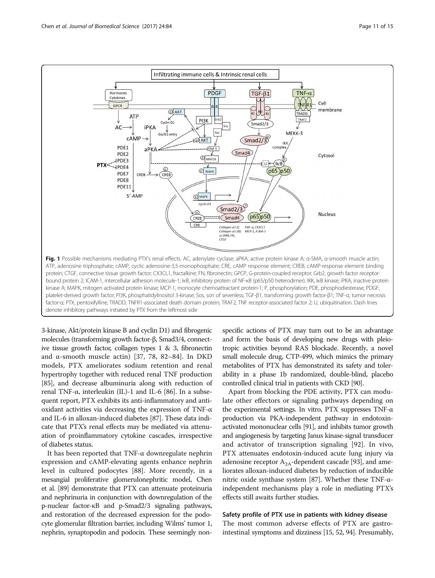<span id="page-10-0"></span>

denote inhibitory pathways initiated by PTX from the leftmost side

3-kinase, Akt/protein kinase B and cyclin D1) and fibrogenic molecules (transforming growth factor-β, Smad3/4, connective tissue growth factor, collagen types 1 & 3, fibronectin and α-smooth muscle actin) [[37,](#page-12-0) [78](#page-13-0), [82](#page-13-0)–[84](#page-13-0)]. In DKD models, PTX ameliorates sodium retention and renal hypertrophy together with reduced renal TNF production [[85](#page-13-0)], and decrease albuminuria along with reduction of renal TNF-α, interleukin (IL)-1 and IL-6 [\[86](#page-13-0)]. In a subsequent report, PTX exhibits its anti-inflammatory and antioxidant activities via decreasing the expression of TNF-α and IL-6 in alloxan-induced diabetes [\[87](#page-13-0)]. These data indicate that PTX's renal effects may be mediated via attenuation of proinflammatory cytokine cascades, irrespective of diabetes status.

It has been reported that TNF- $\alpha$  downregulate nephrin expression and cAMP-elevating agents enhance nephrin level in cultured podocytes [[88](#page-13-0)]. More recently, in a mesangial proliferative glomerulonephritic model, Chen et al. [\[89\]](#page-13-0) demonstrate that PTX can attenuate proteinuria and nephrinuria in conjunction with downregulation of the p-nuclear factor-κB and p-Smad2/3 signaling pathways, and restoration of the decreased expression for the podocyte glomerular filtration barrier, including Wilms' tumor 1, nephrin, synaptopodin and podocin. These seemingly nonspecific actions of PTX may turn out to be an advantage and form the basis of developing new drugs with pleiotropic activities beyond RAS blockade. Recently, a novel small molecule drug, CTP-499, which mimics the primary metabolites of PTX has demonstrated its safety and tolerability in a phase 1b randomized, double-blind, placebo controlled clinical trial in patients with CKD [\[90](#page-13-0)].

Apart from blocking the PDE activity, PTX can modulate other effectors or signaling pathways depending on the experimental settings. In vitro, PTX suppresses TNF-α production via PKA-independent pathway in endotoxinactivated mononuclear cells [\[91](#page-13-0)], and inhibits tumor growth and angiogenesis by targeting Janus kinase-signal transducer and activator of transcription signaling [[92\]](#page-13-0). In vivo, PTX attenuates endotoxin-induced acute lung injury via adenosine receptor  $A_{2A}$ -dependent cascade [\[93](#page-13-0)], and ameliorates alloxan-induced diabetes by reduction of inducible nitric oxide synthase system [\[87\]](#page-13-0). Whether these TNF- $α$ independent mechanisms play a role in mediating PTX's effects still awaits further studies.

# Safety profile of PTX use in patients with kidney disease

The most common adverse effects of PTX are gastrointestinal symptoms and dizziness [[15](#page-12-0), [52](#page-12-0), [94](#page-13-0)]. Presumably,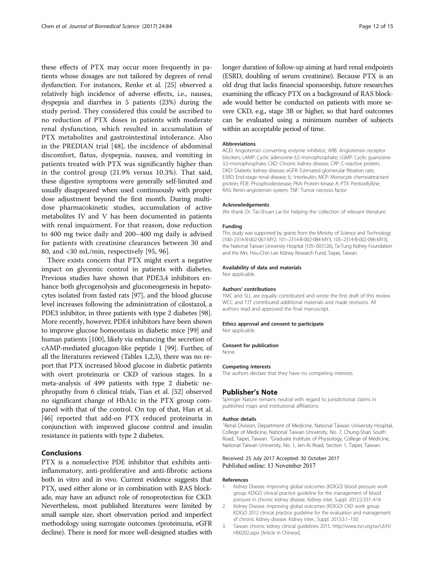<span id="page-11-0"></span>these effects of PTX may occur more frequently in patients whose dosages are not tailored by degrees of renal dysfunction. For instances, Renke et al. [[25](#page-12-0)] observed a relatively high incidence of adverse effects, i.e., nausea, dyspepsia and diarrhea in 5 patients (23%) during the study period. They considered this could be ascribed to no reduction of PTX doses in patients with moderate renal dysfunction, which resulted in accumulation of PTX metabolites and gastrointestinal intolerance. Also in the PREDIAN trial [[48\]](#page-12-0), the incidence of abdominal discomfort, flatus, dyspepsia, nausea, and vomiting in patients treated with PTX was significantly higher than in the control group (21.9% versus 10.3%). That said, these digestive symptoms were generally self-limited and usually disappeared when used continuously with proper dose adjustment beyond the first month. During multidose pharmacokinetic studies, accumulation of active metabolites IV and V has been documented in patients with renal impairment. For that reason, dose reduction to 400 mg twice daily and 200–400 mg daily is advised for patients with creatinine clearances between 30 and 80, and <30 mL/min, respectively [\[95](#page-13-0), [96\]](#page-14-0).

There exists concern that PTX might exert a negative impact on glycemic control in patients with diabetes. Previous studies have shown that PDE3,4 inhibitors enhance both glycogenolysis and gluconeogenesis in hepatocytes isolated from fasted rats [\[97\]](#page-14-0), and the blood glucose level increases following the administration of cilostazol, a PDE3 inhibitor, in three patients with type 2 diabetes [[98](#page-14-0)]. More recently, however, PDE4 inhibitors have been shown to improve glucose homeostasis in diabetic mice [[99](#page-14-0)] and human patients [[100](#page-14-0)], likely via enhancing the secretion of cAMP-mediated glucagon-like peptide 1 [[99\]](#page-14-0). Further, of all the literatures reviewed (Tables [1](#page-2-0)[,2](#page-3-0)[,3](#page-6-0)), there was no report that PTX increased blood glucose in diabetic patients with overt proteinuria or CKD of various stages. In a meta-analysis of 499 patients with type 2 diabetic nephropathy from 6 clinical trials, Tian et al. [\[52\]](#page-12-0) observed no significant change of HbA1c in the PTX group compared with that of the control. On top of that, Han et al. [[46](#page-12-0)] reported that add-on PTX reduced proteinuria in conjunction with improved glucose control and insulin resistance in patients with type 2 diabetes.

# Conclusions

PTX is a nonselective PDE inhibitor that exhibits antiinflammatory, anti-proliferative and anti-fibrotic actions both in vitro and in vivo. Current evidence suggests that PTX, used either alone or in combination with RAS blockade, may have an adjunct role of renoprotection for CKD. Nevertheless, most published literatures were limited by small sample size, short observation period and imperfect methodology using surrogate outcomes (proteinuria, eGFR decline). There is need for more well-designed studies with longer duration of follow-up aiming at hard renal endpoints (ESRD, doubling of serum creatinine). Because PTX is an old drug that lacks financial sponsorship, future researches examining the efficacy PTX on a background of RAS blockade would better be conducted on patients with more severe CKD, e.g., stage 3B or higher, so that hard outcomes can be evaluated using a minimum number of subjects within an acceptable period of time.

#### Abbreviations

ACEI: Angiotensin converting enzyme inhibitor; ARB: Angiotensin receptor blockers; cAMP: Cyclic adenosine-3,5-monophosphate; cGMP: Cyclic guanosine-3,5-monophosphate; CKD: Chronic kidney disease; CRP: C-reactive protein; DKD: Diabetic kidney disease; eGFR: Estimated glomerular filtration rate; ESRD: End-stage renal disease; IL: Interleukin; MCP: Monocyte chemoattractant protein; PDE: Phosphodiesterase; PKA: Protein kinase A; PTX: Pentoxifylline; RAS: Renin-angiotensin system; TNF: Tumor necrosis factor

#### Acknowledgements

We thank Dr. Tai-Shuan Lai for helping the collection of relevant literature.

#### Funding

This study was supported by grants from the Ministry of Science and Technology (100–2314-B-002-067-MY2, 101–2314-B-002-084-MY3, 105–2314-B-002-096-MY3), the National Taiwan University Hospital (105–003126), Ta-Tung Kidney Foundation and the Mrs. Hsiu-Chin Lee Kidney Research Fund, Taipei, Taiwan.

#### Availability of data and materials

Not applicable.

#### Authors' contributions

YMC and SLL are equally contributed and wrote the first draft of this review. WCC and TJT contributed additional materials and made revisions. All authors read and approved the final manuscript.

#### Ethics approval and consent to participate

Not applicable.

#### Consent for publication

None.

#### Competing interests

The authors declare that they have no competing interests.

#### Publisher's Note

Springer Nature remains neutral with regard to jurisdictional claims in published maps and institutional affiliations.

#### Author details

<sup>1</sup> Renal Division, Department of Medicine, National Taiwan University Hospital College of Medicine, National Taiwan University, No. 7, Chung-Shan South Road, Taipei, Taiwan. <sup>2</sup>Graduate Institute of Physiology, College of Medicine National Taiwan University, No. 1, Jen-Ai Road, Section 1, Taipei, Taiwan.

### Received: 25 July 2017 Accepted: 30 October 2017 Published online: 13 November 2017

#### References

- 1. Kidney Disease. Improving global outcomes (KDIGO) blood pressure work group. KDIGO clinical practice guideline for the management of blood pressure in chronic kidney disease. Kidney inter, Suppl. 2012;2:337–414.
- 2. Kidney Disease. Improving global outcomes (KDIGO) CKD work group. KDIGO 2012 clinical practice guideline for the evaluation and management of chronic kidney disease. Kidney inter., Suppl. 2013;3:1–150.
- 3. Taiwan chronic kidney clinical guidelines 2015. [http://www.tsn.org.tw/UI/H/](http://www.tsn.org.tw/UI/H/H00202.aspx) [H00202.aspx](http://www.tsn.org.tw/UI/H/H00202.aspx) [Article in Chinese].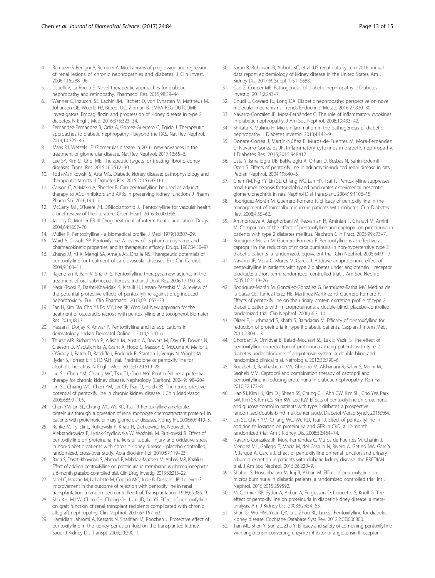- <span id="page-12-0"></span>4. Remuzzi G, Benigni A, Remuzzi A. Mechanisms of progression and regression of renal lesions of chronic nephropathies and diabetes. J Clin Invest. 2006;116:288–96.
- Usuelli V, La Rocca E. Novel therapeutic approaches for diabetic nephropathy and retinopathy. Pharmacol Res. 2015;98:39–44.
- 6. Wanner C, Inzucchi SE, Lachin JM, Fitchett D, von Eynatten M, Mattheus M, Johansen OE, Woerle HJ, Broedl UC, Zinman B, EMPA-REG OUTCOME Investigators. Empagliflozin and progression of kidney disease in type 2 diabetes. N Engl J Med. 2016;375:323–34.
- 7. Fernandez-Fernandez B, Ortiz A, Gomez-Guerrero C, Egido J. Therapeutic approaches to diabetic nephropathy - beyond the RAS. Nat Rev Nephrol. 2014;10:325–46.
- 8. Maas RJ, Wetzels JF. Glomerular disease in 2016: new advances in the treatment of glomerular disease. Nat Rev Nephrol. 2017;13:65–6.
- 9. Lee SY, Kim SI, Choi ME. Therapeutic targets for treating fibrotic kidney diseases. Transl Res. 2015;165:512–30.
- 10. Toth-Manikowski S, Atta MG. Diabetic kidney disease: pathophysiology and therapeutic targets. J Diabetes Res. 2015;2015:697010.
- 11. Carson C, Al-Makki A, Shepler B. Can pentoxifylline be used as adjunct therapy to ACE inhibitors and ARBs in preserving kidney function? J Pharm Pharm Sci. 2016;19:1–7.
- 12. McCarty MF, O'Keefe JH, DiNicolantonio JJ. Pentoxifylline for vascular health: a brief review of the literature. Open Heart. 2016;3:e000365.
- 13. Jacoby D, Mohler ER III. Drug treatment of intermittent claudication. Drugs. 2004;64:1657–70.
- 14. Müller R. Pentoxifylline a biomedical profile. J Med. 1979;10:307–29.
- 15. Ward A, Clissold SP. Pentoxifylline. A review of its pharmacodynamic and pharmacokinetic properties, and its therapeutic efficacy. Drugs. 1987;34:50–97.
- 16. Zhang M, YJ X, Mengi SA, Arneja AS, Dhalla NS. Therapeutic potentials of pentoxifylline for treatment of cardiovascular diseases. Exp Clin Cardiol. 2004;9:103–11.
- 17. Rajendran R, Rani V, Shaikh S. Pentoxifylline therapy: a new adjunct in the treatment of oral submucous fibrosis. Indian J Dent Res. 2006;17:190–8.
- 18. Nasiri-Toosi Z, Dashti-Khavidaki S, Khalili H, Lessan-Pezeshki M. A review of the potential protective effects of pentoxifylline against drug-induced nephrotoxicity. Eur J Clin Pharmacol. 2013;69:1057–73.
- 19. Fan H, Kim SM, Cho YJ, Eo MY, Lee SK, Woo KM. New approach for the treatment of osteoradionecrosis with pentoxifylline and tocopherol. Biomater Res. 2014;18:13.
- 20. Hassan I, Dorjay K, Anwar P. Pentoxifylline and its applications in dermatology. Indian Dermatol Online J. 2014;5:510–6.
- 21. Thursz MR, Richardson P, Allison M, Austin A, Bowers M, Day CP, Downs N, Gleeson D, MacGilchrist A, Grant A, Hood S, Masson S, McCune A, Mellor J, O'Grady J, Patch D, Ratcliffe I, Roderick P, Stanton L, Vergis N, Wright M, Ryder S, Forrest EH, STOPAH Trial. Prednisolone or pentoxifylline for alcoholic hepatitis. N Engl J Med. 2015;372:1619–28.
- 22. Lin SL, Chen YM, Chiang WC, Tsai TJ, Chen WY. Pentoxifylline: a potential therapy for chronic kidney disease. Nephrology (Carlton). 2004;9:198–204.
- 23. Lin SL, Chiang WC, Chen YM, Lai CF, Tsai TJ, Hsieh BS. The renoprotective potential of pentoxifylline in chronic kidney disease. J Chin Med Assoc. 2005;68:99–105.
- 24. Chen YM, Lin SL, Chiang WC, Wu KD, Tsai TJ. Pentoxifylline ameliorates proteinuria through suppression of renal monocyte chemoattractant protein-1 in patients with proteinuric primary glomerular diseases. Kidney Int. 2006;69:1410–5.
- 25. Renke M, Tylicki L, Rutkowski P, Knap N, Zietkiewicz M, Neuwelt A, Aleksandrowicz E, Łysiak-Szydłowska W, Woźniak M, Rutkowski B. Effect of pentoxifylline on proteinuria, markers of tubular injury and oxidative stress in non-diabetic patients with chronic kidney disease - placebo controlled, randomized, cross-over study. Acta Biochim Pol. 2010;57:119–23.
- 26. Badri S, Dashti-Khavidaki S, Ahmadi F, Mahdavi-Mazdeh M, Abbasi MR, Khalili H. Effect of add-on pentoxifylline on proteinuria in membranous glomerulonephritis: a 6-month placebo-controlled trial. Clin Drug Investig. 2013;33:215–22.
- 27. Noel C, Hazzan M, Labalette M, Coppin MC, Jude B, Dessaint JP, Lelievre G. Improvement in the outcome of rejection with pentoxifylline in renal transplantation: a randomized controlled trial. Transplantation. 1998;65:385–9.
- 28. Shu KH, MJ W, Chen CH, Cheng CH, Lian JD, Lu YS. Effect of pentoxifylline on graft function of renal transplant recipients complicated with chronic allograft nephropathy. Clin Nephrol. 2007;67:157–63.
- 29. Hamidian Jahromi A, Kessaris N, Sharifian M, Roozbeh J. Protective effect of pentoxifylline in the kidney perfusion fluid on the transplanted kidney. Saudi J Kidney Dis Transpl. 2009;20:290–1.
- 30. Saran R, Robinson B, Abbott KC, et al. US renal data system 2016 annual data report: epidemiology of kidney disease in the United States. Am J Kidney Dis. 2017;69(suppl 1):S1–S688.
- 31. Cao Z, Cooper ME. Pathogenesis of diabetic nephropathy. J Diabetes Investig. 2011;2:243–7.
- 32. Gnudi L, Coward RJ, Long DA. Diabetic nephropathy: perspective on novel molecular mechanisms. Trends Endocrinol Metab. 2016;27:820–30.
- 33. Navarro-González JF, Mora-Fernández C. The role of inflammatory cytokines in diabetic nephropathy. J Am Soc Nephrol. 2008;19:433–42.
- 34. Shikata K, Makino H. Microinflammation in the pathogenesis of diabetic nephropathy. J Diabetes Investig. 2013;4:142–9.
- 35. Donate-Correa J, Martín-Núñez E, Muros-de-Fuentes M, Mora-Fernández C, Navarro-González JF. Inflammatory cytokines in diabetic nephropathy. J Diabetes Res. 2015;2015:948417.
- 36. Usta Y, Ismailoglu UB, Bakkaloglu A, Orhan D, Besbas N, Sahin-Erdemli I, Ozen S. Effects of pentoxifylline in adriamycin-induced renal disease in rats. Pediatr Nephrol. 2004;19:840–3.
- 37. Chen YM, Ng YY, Lin SL, Chiang WC, Lan HY, Tsai TJ. Pentoxifylline suppresses renal tumor necrosis factor-alpha and ameliorates experimental crescentic glomerulonephritis in rats. Nephrol Dial Transplant. 2004;19:1106–15.
- 38. Rodríguez-Morán M, Guerrero-Romero F. Efficacy of pentoxifylline in the management of microalbuminuria in patients with diabetes. Curr Diabetes Rev. 2008;4:55–62.
- 39. Aminorroaya A, Janghorbani M, Rezvanian H, Aminian T, Gharavi M, Amini M. Comparison of the effect of pentoxifylline and captopril on proteinuria in patients with type 2 diabetes mellitus. Nephron Clin Pract. 2005;99:c73–7.
- 40. Rodríguez-Morán M, Guerrero-Romero F. Pentoxifylline is as effective as captopril in the reduction of microalbuminuria in non-hypertensive type 2 diabetic patients–a randomized, equivalent trial. Clin Nephrol. 2005;64:91–7.
- 41. Navarro JF, Mora C, Muros M, García J. Additive antiproteinuric effect of pentoxifylline in patients with type 2 diabetes under angiotensin II receptor blockade: a short-term, randomized, controlled trial. J Am Soc Nephrol. 2005;16:2119–26.
- 42. Rodriguez-Morán M, González-González G, Bermúdez-Barba MV, Medina de la Garza CE, Tamez-Pérez HE, Martínez-Martínez FJ, Guerrero-Romero F. Effects of pentoxifylline on the urinary protein excretion profile of type 2 diabetic patients with microproteinuria: a double-blind, placebo-controlled randomized trial. Clin Nephrol. 2006;66:3–10.
- 43. Oliaei F, Hushmand S, Khafri S, Baradaran M. Efficacy of pentoxifylline for reduction of proteinuria in type II diabetic patients. Caspian J Intern Med. 2011;2:309–13.
- 44. Ghorbani A, Omidvar B, Beladi-Mousavi SS, Lak E, Vaziri S. The effect of pentoxifylline on reduction of proteinuria among patients with type 2 diabetes under blockade of angiotensin system: a double blind and randomized clinical trial. Nefrologia. 2012;32:790–6.
- 45. Roozbeh J, Banihashemi MA, Ghezlou M, Afshariani R, Salari S, Moini M, Sagheb MM. Captopril and combination therapy of captopril and pentoxifylline in reducing proteinuria in diabetic nephropathy. Ren Fail. 2010;32:172–8.
- 46. Han SJ, Kim HJ, Kim DJ, Sheen SS, Chung CH, Ahn CW, Kim SH, Cho YW, Park SW, Kim SK, Kim CS, Kim KW, Lee KW. Effects of pentoxifylline on proteinuria and glucose control in patients with type 2 diabetes: a prospective randomized double-blind multicenter study. Diabetol Metab Syndr. 2015;7:64.
- 47. Lin SL, Chen YM, Chiang WC, Wu KD, Tsai TJ. Effect of pentoxifylline in addition to losartan on proteinuria and GFR in CKD: a 12-month randomized trial. Am J Kidney Dis. 2008;52:464–74.
- 48. Navarro-González JF, Mora-Fernández C, Muros de Fuentes M, Chahin J, Méndez ML, Gallego E, Macía M, del Castillo N, Rivero A, Getino MA, García P, Jarque A, García J. Effect of pentoxifylline on renal function and urinary albumin excretion in patients with diabetic kidney disease: the PREDIAN trial. J Am Soc Nephrol. 2015;26:220–9.
- 49. Shahidi S, Hoseinbalam M, Iraj B, Akbari M. Effect of pentoxifylline on microalbuminuria in diabetic patients: a randomized controlled trial. Int J Nephrol. 2015;2015:259592.
- 50. McCormick BB, Sydor A, Akbari A, Fergusson D, Doucette S, Knoll G. The effect of pentoxifylline on proteinuria in diabetic kidney disease: a metaanalysis. Am J Kidney Dis. 2008;52:454–63.
- 51. Shan D, Wu HM, Yuan QY, Li J, Zhou RL, Liu GJ. Pentoxifylline for diabetic kidney disease. Cochrane Database Syst Rev. 2012;2:CD006800.
- 52. Tian ML, Shen Y, Sun ZL, Zha Y. Efficacy and safety of combining pentoxifylline with angiotensin-converting enzyme inhibitor or angiotensin II receptor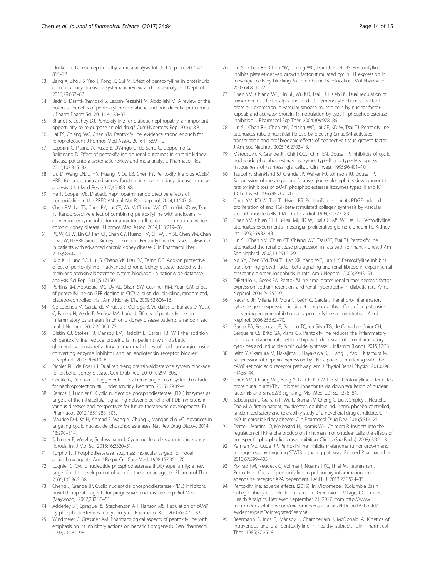<span id="page-13-0"></span>blocker in diabetic nephropathy: a meta-analysis. Int Urol Nephrol. 2015;47: 815–22.

- 53. Jiang X, Zhou S, Yao J, Kong X, Cui M. Effect of pentoxifylline in proteinuric chronic kidney disease: a systematic review and meta-analysis. J Nephrol. 2016;29:653–62.
- 54. Badri S, Dashti-Khavidaki S, Lessan-Pezeshki M, Abdollahi M. A review of the potential benefits of pentoxifylline in diabetic and non-diabetic proteinuria. J Pharm Pharm Sci. 2011;14:128–37.
- 55. Bhanot S, Leehey DJ. Pentoxifylline for diabetic nephropathy: an important opportunity to re-purpose an old drug? Curr Hypertens Rep. 2016;18:8.
- Lai TS, Chiang WC, Chen YM. Pentoxifylline: evidence strong enough for renoprotection? J Formos Med Assoc. 2016;115:591–2.
- 57. Leporini C, Pisano A, Russo E, D'Arrigo G, de Sarro G, Coppolino G, Bolignano D. Effect of pentoxifylline on renal outcomes in chronic kidney disease patients: a systematic review and meta-analysis. Pharmacol Res. 2016;107:315–32.
- 58. Liu D, Wang LN, Li HX, Huang P, Qu LB, Chen FY. Pentoxifylline plus ACEIs/ ARBs for proteinuria and kidney function in chronic kidney disease: a metaanalysis. J Int Med Res. 2017;45:383–98.
- 59. He T, Cooper ME. Diabetic nephropathy: renoprotective effects of pentoxifylline in the PREDIAN trial. Nat Rev Nephrol. 2014;10:547–8.
- 60. Chen PM, Lai TS, Chen PY, Lai CF, Wu V, Chiang WC, Chen YM, KD W, Tsai TJ. Renoprotective effect of combining pentoxifylline with angiotensinconverting enzyme inhibitor or angiotensin II receptor blocker in advanced chronic kidney disease. J Formos Med Assoc. 2014;113:219–26.
- 61. PC W, CJ W, Lin CJ, Pan CF, Chen CY, Huang TM, CH W, Lin SL, Chen YM, Chen L, VC W, NSARF Group. Kidney consortium. Pentoxifylline decreases dialysis risk in patients with advanced chronic kidney disease. Clin Pharmacol Ther. 2015;98:442–9.
- 62. Kuo KL, Hung SC, Liu JS, Chang YK, Hsu CC, Tarng DC. Add-on protective effect of pentoxifylline in advanced chronic kidney disease treated with renin-angiotensin-aldosterone system blockade - a nationwide database analysis. Sci Rep. 2015;5:17150.
- 63. Perkins RM, Aboudara MC, Uy AL, Olson SW, Cushner HM, Yuan CM. Effect of pentoxifylline on GFR decline in CKD: a pilot, double-blind, randomized, placebo-controlled trial. Am J Kidney Dis. 2009;53:606–16.
- 64. Goicoechea M, García de Vinuesa S, Quiroga B, Verdalles U, Barraca D, Yuste C, Panizo N, Verde E, Muñoz MA, Luño J. Effects of pentoxifylline on inflammatory parameters in chronic kidney disease patients: a randomized trial. J Nephrol. 2012;25:969–75.
- 65. Diskin CJ, Stokes TJ, Dansby LM, Radcliff L, Carter TB. Will the addition of pentoxifylline reduce proteinuria in patients with diabetic glomerulosclerosis refractory to maximal doses of both an angiotensinconverting enzyme inhibitor and an angiotensin receptor blocker? J Nephrol. 2007;20:410–6.
- 66. Pichler RH, de Boer IH. Dual renin-angiotensin-aldosterone system blockade for diabetic kidney disease. Curr Diab Rep. 2010;10:297–305.
- 67. Gentile G, Remuzzi G, Ruggenenti P. Dual renin-angiotensin system blockade for nephroprotection: still under scrutiny. Nephron. 2015;129:39–41.
- 68. Keravis T, Lugnier C. Cyclic nucleotide phosphodiesterase (PDE) isozymes as targets of the intracellular signalling network: benefits of PDE inhibitors in various diseases and perspectives for future therapeutic developments. Br J Pharmacol. 2012;165:1288–305.
- 69. Maurice DH, Ke H, Ahmad F, Wang Y, Chung J, Manganiello VC. Advances in targeting cyclic nucleotide phosphodiesterases. Nat Rev Drug Discov. 2014; 13:290–314.
- 70. Schinner E, Wetzl V, Schlossmann J. Cyclic nucleotide signalling in kidney fibrosis. Int J Mol Sci. 2015;16:2320–51.
- 71. Torphy TJ. Phosphodiesterase isozymes: molecular targets for novel antiasthma agents. Am J Respir Crit Care Med. 1998;157:351–70.
- 72. Lugnier C. Cyclic nucleotide phosphodiesterase (PDE) superfamily: a new target for the development of specific therapeutic agents. Pharmacol Ther. 2006;109:366–98.
- 73. Cheng J, Grande JP. Cyclic nucleotide phosphodiesterase (PDE) inhibitors: novel therapeutic agents for progressive renal disease. Exp Biol Med (Maywood). 2007;232:38–51.
- 74. Adderley SP, Sprague RS, Stephenson AH, Hanson MS. Regulation of cAMP by phosphodiesterases in erythrocytes. Pharmacol Rep. 2010;62:475–82.
- 75. Windmeier C, Gressner AM. Pharmacological aspects of pentoxifylline with emphasis on its inhibitory actions on hepatic fibrogenesis. Gen Pharmacol. 1997;29:181–96.
- 76. Lin SL, Chen RH, Chen YM, Chiang WC, Tsai TJ, Hsieh BS. Pentoxifylline inhibits platelet-derived growth factor-stimulated cyclin D1 expression in mesangial cells by blocking Akt membrane translocation. Mol Pharmacol. 2003;64:811–22.
- 77. Chen YM, Chiang WC, Lin SL, Wu KD, Tsai TJ, Hsieh BS. Dual regulation of tumor necrosis factor-alpha-induced CCL2/monocyte chemoattractant protein-1 expression in vascular smooth muscle cells by nuclear factorkappaB and activator protein-1: modulation by type III phosphodiesterase inhibition. J Pharmacol Exp Ther. 2004;309:978–86.
- 78. Lin SL, Chen RH, Chen YM, Chiang WC, Lai CF, KD W, Tsai TJ. Pentoxifylline attenuates tubulointerstitial fibrosis by blocking Smad3/4-activated transcription and profibrogenic effects of connective tissue growth factor. J Am Soc Nephrol. 2005;16:2702–13.
- 79. Matousovic K, Grande JP, Chini CCS, Chini EN, Dousa TP. Inhibitors of cyclic nucleotide phosphodiesterase isozymes type-lIl and type-IV suppress mitogenesis of rat mesangial cells. J Clin Invest. 1995;96:401–10.
- 80. Tsuboi Y, Shankland SJ, Grande JP, Walker HJ, Johnson RJ, Dousa TP. Suppression of mesangial proliferative glomerulonephritis development in rats by inhibitors of cAMP phosphodiesterase isozymes types III and IV. J Clin Invest. 1996;98:262–70.
- 81. Chen YM, KD W, Tsai TJ, Hsieh BS. Pentoxifylline inhibits PDGF-induced proliferation of and TGF-beta-stimulated collagen synthesis by vascular smooth muscle cells. J Mol Cell Cardiol. 1999;31:773–83.
- 82. Chen YM, Chien CT, Hu-Tsai MI, KD W, Tsai CC, MS W, Tsai TJ. Pentoxifylline attenuates experimental mesangial proliferative glomerulonephritis. Kidney Int. 1999;56:932–43.
- 83. Lin SL, Chen YM, Chien CT, Chiang WC, Tsai CC, Tsai TJ. Pentoxifylline attenuated the renal disease progression in rats with remnant kidney. J Am Soc Nephrol. 2002;13:2916–29.
- 84. Ng YY, Chen YM, Tsai TJ, Lan XR, Yang WC, Lan HY. Pentoxifylline inhibits transforming growth factor-beta signaling and renal fibrosis in experimental crescentic glomerulonephritis in rats. Am J Nephrol. 2009;29:43–53.
- 85. DiPetrillo K, Gesek FA. Pentoxifylline ameliorates renal tumor necrosis factor expression, sodium retention, and renal hypertrophy in diabetic rats. Am J Nephrol. 2004;24:352–9.
- 86. Navarro JF, Milena FJ, Mora C, León C, García J. Renal pro-inflammatory cytokine gene expression in diabetic nephropathy: effect of angiotensinconverting enzyme inhibition and pentoxifylline administration. Am J Nephrol. 2006;26:562–70.
- 87. Garcia FA, Rebouças JF, Balbino TQ, da Silva TG, de Carvalho-Júnior CH, Cerqueira GS, Brito GA, Viana GS. Pentoxifylline reduces the inflammatory process in diabetic rats: relationship with decreases of pro-inflammatory cytokines and inducible nitric oxide synthase. J Inflamm (Lond). 2015;12:33.
- 88. Saito Y, Okamura M, Nakajima S, Hayakawa K, Huang T, Yao J, Kitamura M. Suppression of nephrin expression by TNF-alpha via interfering with the cAMP-retinoic acid receptor pathway. Am J Physiol Renal Physiol. 2010;298: F1436–44.
- 89. Chen YM, Chiang WC, Yang Y, Lai CF, KD W, Lin SL. Pentoxifylline attenuates proteinuria in anti-Thy1 glomerulonephritis via downregulation of nuclear factor-κB and Smad2/3 signaling. Mol Med. 2015;21:276–84.
- 90. Sabounjian L, Graham P, Wu L, Braman V, Cheng C, Liu J, Shipley J, Neutel J, Dao M. A first-in-patient, multicenter, double-blind, 2-arm, placebo-controlled, randomized safety and tolerability study of a novel oral drug candidate, CTP-499, in chronic kidney disease. Clin Pharmacol Drug Dev. 2016;5:314–25.
- 91. Deree J, Martins JO, Melbostad H, Loomis WH, Coimbra R. Insights into the regulation of TNF-alpha production in human mononuclear cells: the effects of non-specific phosphodiesterase inhibition. Clinics (Sao Paulo). 2008;63:321–8.
- 92. Kamran MZ, Gude RP. Pentoxifylline inhibits melanoma tumor growth and angiogenesis by targeting STAT3 signaling pathway. Biomed Pharmacother. 2013;67:399–405.
- 93. Konrad FM, Neudeck G, Vollmer I, Ngamsri KC, Thiel M, Reutershan J. Protective effects of pentoxifylline in pulmonary inflammation are adenosine receptor A2A dependent. FASEB J. 2013;27:3524–35.
- 94. Pentoxifylline: adverse effects. (2015). In Micromedex (Columbia Basin College Library ed.) [Electronic version]. Greenwood Village, CO: Truven Health Analytics. Retrieved September 21, 2017, from [http://www.](http://www.micromedexsolutions.com/micromedex2/librarian/PFDefaultActionId/evidencexpert.DoIntegratedSearch#) [micromedexsolutions.com/micromedex2/librarian/PFDefaultActionId/](http://www.micromedexsolutions.com/micromedex2/librarian/PFDefaultActionId/evidencexpert.DoIntegratedSearch#) [evidencexpert.DoIntegratedSearch#](http://www.micromedexsolutions.com/micromedex2/librarian/PFDefaultActionId/evidencexpert.DoIntegratedSearch#)
- Beermann B, Ings R, Månsby J, Chamberlain J, McDonald A. Kinetics of intravenous and oral pentoxifylline in healthy subjects. Clin Pharmacol Ther. 1985;37:25–8.